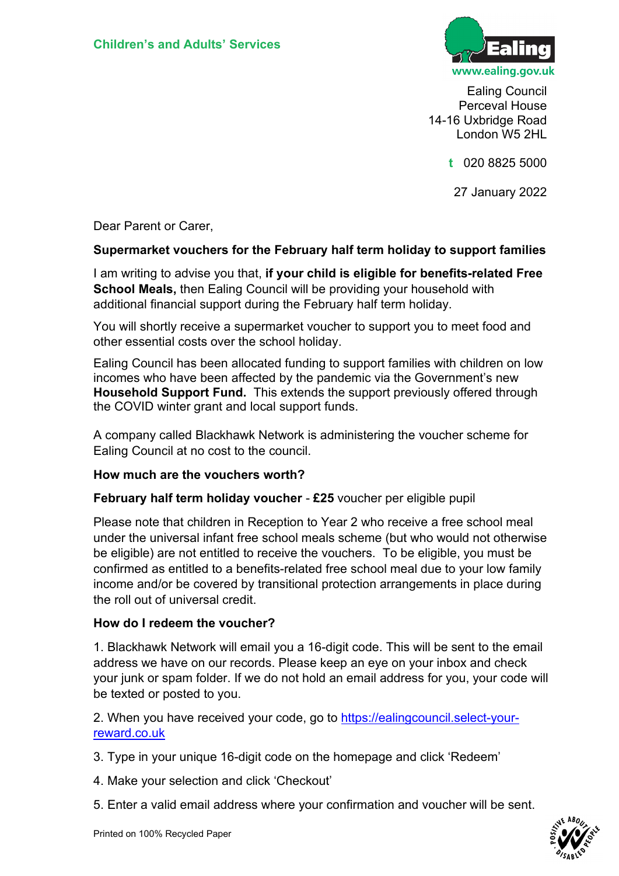

Ealing Council Perceval House 14-16 Uxbridge Road London W5 2HL

**t** 020 8825 5000

27 January 2022

Dear Parent or Carer,

#### **Supermarket vouchers for the February half term holiday to support families**

I am writing to advise you that, **if your child is eligible for benefits-related Free School Meals,** then Ealing Council will be providing your household with additional financial support during the February half term holiday.

You will shortly receive a supermarket voucher to support you to meet food and other essential costs over the school holiday.

Ealing Council has been allocated funding to support families with children on low incomes who have been affected by the pandemic via the Government's new **Household Support Fund.** This extends the support previously offered through the COVID winter grant and local support funds.

A company called Blackhawk Network is administering the voucher scheme for Ealing Council at no cost to the council.

#### **How much are the vouchers worth?**

**February half term holiday voucher** - **£25** voucher per eligible pupil

Please note that children in Reception to Year 2 who receive a free school meal under the universal infant free school meals scheme (but who would not otherwise be eligible) are not entitled to receive the vouchers. To be eligible, you must be confirmed as entitled to a benefits-related free school meal due to your low family income and/or be covered by transitional protection arrangements in place during the roll out of universal credit.

## **How do I redeem the voucher?**

1. Blackhawk Network will email you a 16-digit code. This will be sent to the email address we have on our records. Please keep an eye on your inbox and check your junk or spam folder. If we do not hold an email address for you, your code will be texted or posted to you.

2. When you have received your code, go to [https://ealingcouncil.select-your](https://ealingcouncil.select-your-reward.co.uk/)[reward.co.uk](https://ealingcouncil.select-your-reward.co.uk/)

- 3. Type in your unique 16-digit code on the homepage and click 'Redeem'
- 4. Make your selection and click 'Checkout'
- 5. Enter a valid email address where your confirmation and voucher will be sent.